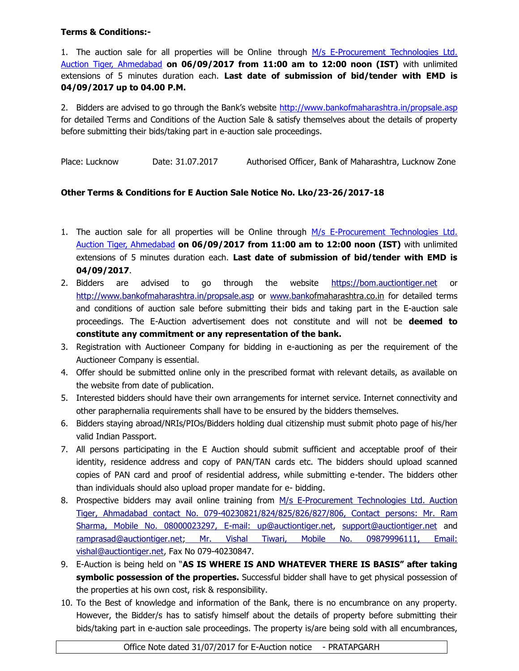## **Terms & Conditions:-**

1. The auction sale for all properties will be Online through M/s E-Procurement Technologies Ltd. Auction Tiger, Ahmedabad **on 06/09/2017 from 11:00 am to 12:00 noon (IST)** with unlimited extensions of 5 minutes duration each. **Last date of submission of bid/tender with EMD is 04/09/2017 up to 04.00 P.M.**

2. Bidders are advised to go through the Bank's website <http://www.bankofmaharashtra.in/propsale.asp> for detailed Terms and Conditions of the Auction Sale & satisfy themselves about the details of property before submitting their bids/taking part in e-auction sale proceedings.

Place: Lucknow Date: 31.07.2017 Authorised Officer, Bank of Maharashtra, Lucknow Zone

## **Other Terms & Conditions for E Auction Sale Notice No. Lko/23-26/2017-18**

- 1. The auction sale for all properties will be Online through M/s E-Procurement Technologies Ltd. Auction Tiger, Ahmedabad **on 06/09/2017 from 11:00 am to 12:00 noon (IST)** with unlimited extensions of 5 minutes duration each. **Last date of submission of bid/tender with EMD is 04/09/2017**.
- 2. Bidders are advised to go through the website [https://bom.auctiontiger.net](https://bom.auctiontiger.net/) or <http://www.bankofmaharashtra.in/propsale.asp> or [www.banko](http://www.bank/)fmaharashtra.co.in for detailed terms and conditions of auction sale before submitting their bids and taking part in the E-auction sale proceedings. The E-Auction advertisement does not constitute and will not be **deemed to constitute any commitment or any representation of the bank.**
- 3. Registration with Auctioneer Company for bidding in e-auctioning as per the requirement of the Auctioneer Company is essential.
- 4. Offer should be submitted online only in the prescribed format with relevant details, as available on the website from date of publication.
- 5. Interested bidders should have their own arrangements for internet service. Internet connectivity and other paraphernalia requirements shall have to be ensured by the bidders themselves.
- 6. Bidders staying abroad/NRIs/PIOs/Bidders holding dual citizenship must submit photo page of his/her valid Indian Passport.
- 7. All persons participating in the E Auction should submit sufficient and acceptable proof of their identity, residence address and copy of PAN/TAN cards etc. The bidders should upload scanned copies of PAN card and proof of residential address, while submitting e-tender. The bidders other than individuals should also upload proper mandate for e- bidding.
- 8. Prospective bidders may avail online training from M/s E-Procurement Technologies Ltd. Auction Tiger, Ahmadabad contact No. 079-40230821/824/825/826/827/806, Contact persons: Mr. Ram Sharma, Mobile No. 08000023297, E-mail: [up@auctiontiger.net,](mailto:up@auctiontiger.net) [support@auctiontiger.net](mailto:support@auctiontiger.net) and [ramprasad@auctiontiger.net;](mailto:ramprasad@auctiontiger.net) Mr. Vishal Tiwari, Mobile No. 09879996111, Email: [vishal@auctiontiger.net,](mailto:vijay.shetty@auctiontiger.net) Fax No 079-40230847.
- 9. E-Auction is being held on "**AS IS WHERE IS AND WHATEVER THERE IS BASIS" after taking symbolic possession of the properties.** Successful bidder shall have to get physical possession of the properties at his own cost, risk & responsibility.
- 10. To the Best of knowledge and information of the Bank, there is no encumbrance on any property. However, the Bidder/s has to satisfy himself about the details of property before submitting their bids/taking part in e-auction sale proceedings. The property is/are being sold with all encumbrances,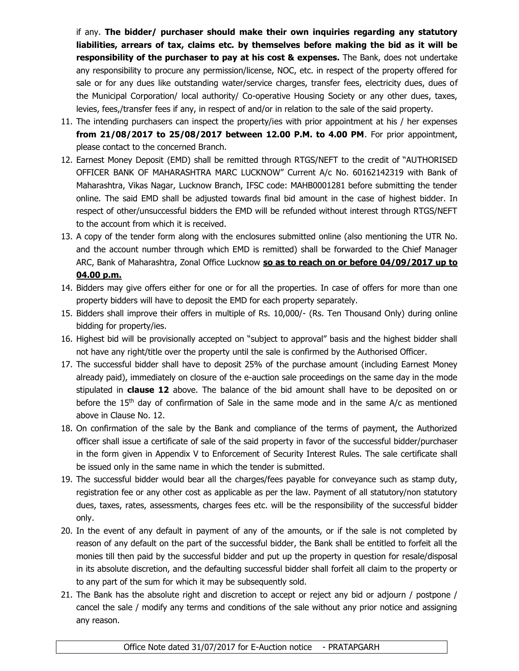if any. **The bidder/ purchaser should make their own inquiries regarding any statutory liabilities, arrears of tax, claims etc. by themselves before making the bid as it will be responsibility of the purchaser to pay at his cost & expenses.** The Bank, does not undertake any responsibility to procure any permission/license, NOC, etc. in respect of the property offered for sale or for any dues like outstanding water/service charges, transfer fees, electricity dues, dues of the Municipal Corporation/ local authority/ Co-operative Housing Society or any other dues, taxes, levies, fees,/transfer fees if any, in respect of and/or in relation to the sale of the said property.

- 11. The intending purchasers can inspect the property/ies with prior appointment at his / her expenses **from 21/08/2017 to 25/08/2017 between 12.00 P.M. to 4.00 PM**. For prior appointment, please contact to the concerned Branch.
- 12. Earnest Money Deposit (EMD) shall be remitted through RTGS/NEFT to the credit of "AUTHORISED OFFICER BANK OF MAHARASHTRA MARC LUCKNOW" Current A/c No. 60162142319 with Bank of Maharashtra, Vikas Nagar, Lucknow Branch, IFSC code: MAHB0001281 before submitting the tender online. The said EMD shall be adjusted towards final bid amount in the case of highest bidder. In respect of other/unsuccessful bidders the EMD will be refunded without interest through RTGS/NEFT to the account from which it is received.
- 13. A copy of the tender form along with the enclosures submitted online (also mentioning the UTR No. and the account number through which EMD is remitted) shall be forwarded to the Chief Manager ARC, Bank of Maharashtra, Zonal Office Lucknow **so as to reach on or before 04/09/2017 up to 04.00 p.m.**
- 14. Bidders may give offers either for one or for all the properties. In case of offers for more than one property bidders will have to deposit the EMD for each property separately.
- 15. Bidders shall improve their offers in multiple of Rs. 10,000/- (Rs. Ten Thousand Only) during online bidding for property/ies.
- 16. Highest bid will be provisionally accepted on "subject to approval" basis and the highest bidder shall not have any right/title over the property until the sale is confirmed by the Authorised Officer.
- 17. The successful bidder shall have to deposit 25% of the purchase amount (including Earnest Money already paid), immediately on closure of the e-auction sale proceedings on the same day in the mode stipulated in **clause 12** above. The balance of the bid amount shall have to be deposited on or before the 15<sup>th</sup> day of confirmation of Sale in the same mode and in the same  $A/c$  as mentioned above in Clause No. 12.
- 18. On confirmation of the sale by the Bank and compliance of the terms of payment, the Authorized officer shall issue a certificate of sale of the said property in favor of the successful bidder/purchaser in the form given in Appendix V to Enforcement of Security Interest Rules. The sale certificate shall be issued only in the same name in which the tender is submitted.
- 19. The successful bidder would bear all the charges/fees payable for conveyance such as stamp duty, registration fee or any other cost as applicable as per the law. Payment of all statutory/non statutory dues, taxes, rates, assessments, charges fees etc. will be the responsibility of the successful bidder only.
- 20. In the event of any default in payment of any of the amounts, or if the sale is not completed by reason of any default on the part of the successful bidder, the Bank shall be entitled to forfeit all the monies till then paid by the successful bidder and put up the property in question for resale/disposal in its absolute discretion, and the defaulting successful bidder shall forfeit all claim to the property or to any part of the sum for which it may be subsequently sold.
- 21. The Bank has the absolute right and discretion to accept or reject any bid or adjourn / postpone / cancel the sale / modify any terms and conditions of the sale without any prior notice and assigning any reason.